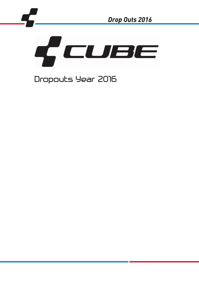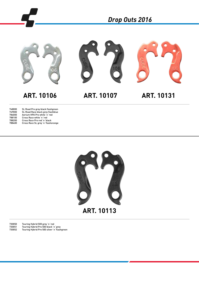

# **ART. 10106 ART. 10107**

**ART. 10131**

| 748000 | SL Road Pro grey black flashgreen |
|--------|-----------------------------------|
| 749000 | SL Road Race black grey flashblue |
| 786000 | Aerium HPA Pro white 'n 'red      |
| 788100 | Cross Race white 'n 'red          |
| 788200 | Cross Race Pro red 'n 'black      |
| 788400 | Cross Race SL grey'n 'flashorange |
|        |                                   |



730050 Touring Hybrid 500 grey´n´red 730051 Touring Hybrid Pro 500 black´n´grey 730052 Touring Hybrid Pro 500 silver´n´flashgreen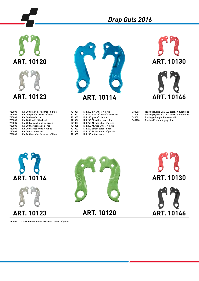# **ART. 10120**

# **ART. 10123**



**ART. 10130**

**ART. 10146**

| 720000 | Kid 200 black 'n 'flashred 'n 'blue |
|--------|-------------------------------------|
|        |                                     |
| 720001 | Kid 200 pink 'n 'white 'n 'blue     |
| 720002 | Kid 200 blue 'n 'red                |
| 720003 | Kid 200 kiwi'n 'flashred            |
| 720004 | Kid 200 Allroad blue 'n 'green      |
| 720005 | Kid 200 Street black 'n 'red        |
| 720006 | Kid 200 Street mint n white         |
| 720007 | Kid 200 action team                 |
| 721000 | Kid 240 black 'n 'flashred 'n 'blue |
|        |                                     |

721001 Kid 240 girl white 'n 'blue<br>721002 Kid 240 blue 'n 'white 'n 'f 721002 Kid 240 blue'n'white'n 'flashred<br>721003 Kid 240 green 'n 'black 721003 Kid 240 green´n´black 721004 Kid 240 SL action team blue 721005 Kid 240 SE detterned blue 'n 'green<br>721005 Kid 240 Allroad blue 'n 'green 721006 Kid 240 Allroad white 'n 'green<br>721006 Kid 240 Allroad white 'n 'blue<br>721007 Kid 240 Street black 'n 'red 721007 Kid 240 Street black 'n 'red<br>721008 Kid 240 Street white 'n 'pur 721008 Kid 240 Street white 'n 'purple<br>721009 Kid 240 action team Kid 240 action team

*Drop Outs 2016*

730003 Touring Hybrid EXC 400 black´n´flashblue 730053 Touring Hybrid EXC 500 black´n´flashblue 740001 Touring midnight blue metallic<br>740100 Touring Pro black grey blue Touring Pro black grey blue



730600 Cross Hybrid Race Allroad 500 black´n´green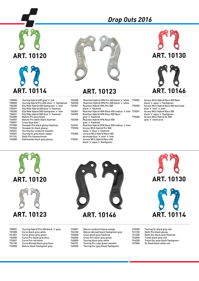



## **ART. 10123**

| 765200 | Reaction Hybrid HPA Pro 400 black 'n 'white              | 770302 | Access WLS Hybrid Race 500 Nyon                              |
|--------|----------------------------------------------------------|--------|--------------------------------------------------------------|
| 765250 | Reaction Hybrid HPA Pro 500 black 'n 'white              |        | black 'n 'aqua 'n 'flashgreen                                |
| 765251 | <b>Reaction Hybrid HPA Pro 500</b><br>black 'n 'flashred | 770350 | Access WLS Hybrid Race 500 bermuda<br>blue 'n 'mint 'n 'kiwi |
| 765301 | Reaction Hybrid HPA Race 400 iceblue 'n 'kiwi 770351     |        | Access WLS Hybrid Race 500                                   |
| 765302 | Reaction Hybrid HPA Race 500 Nyon                        |        | black 'n 'aqua 'n 'flashgreen                                |
|        | grey'n'flashred                                          | 770400 | Access WLS Hybrid SL 500                                     |
| 765350 | <b>Reaction Hybrid HPA Race 500</b><br>arev n flashred   |        | grey n neoncoral                                             |
| 765351 | Reaction Hybrid HPA Race 500 iceblue 'n 'kiwi            |        |                                                              |
| 770250 | Access WLS Hybrid Pro 500                                |        |                                                              |
|        | white'n'blue'n'flashred                                  |        |                                                              |
| 770300 | Access WLS Hybrid Race 400                               |        |                                                              |
|        | bermuda blue'n'mint'n'kiwi                               |        |                                                              |
| 770301 | Access WLS Hybrid Race 400                               |        |                                                              |
|        |                                                          |        |                                                              |





730000 Touring Hybrid 400 grey'n'red<br>730002 Touring Hybrid Pro 400 silver'n 730002 Touring Hybrid Pro 400 silver´n´flashgreen 730300 Elly Ride Hybrid 400 flashgreen´n´kiwi 730301 Elly Ride Hybrid 400 blue 'n 'flashred<br>730350 Elly Ride Hybrid 500 flashgreen 'n 'ki 730350 Elly Ride Hybrid 500 flashgreen´n´kiwi 730351 Elly Ride Hybrid 500 blue 'n 'flashred<br>734000 Nature Pro grey black 734000 Nature Pro grey black 734001 Nature Pro white black flashred 735001 Cross blue kiwi 737000 Tonopah Pro black glossy flashred 737002 Tonopah SL black glossy 740201 Touring Exc sunburnt metallic<br>740301 Touring SL grey black copper 740301 Touring SL grey black copper<br>741101 Delhi Pro havana brown 741101 Delhi Pro havana brown Kathmandu black grey glossy





**ART. 10130**



### **ART. 10123**

| 730001 | Touring Hybrid Pro 400 black 'n 'grey |
|--------|---------------------------------------|
| 731000 | Curve black grey white                |
| 731001 | Curve green grey green                |
| 732000 | Curve Pro black grey blue             |
| 732001 | Curve Pro red black                   |
| 732100 | Curve Allroad black grey blue         |
| 733000 | Nature black flashgreen grey          |
|        |                                       |



734100 Nature Allroad black flashgreen grey Cross black grey flashred 736000 Cross Pro silver grey green 740000 Touring black grey white<br>740101 Touring Pro caipi green n 740101 Touring Pro caipi green metallic<br>740200 Touring Exc grey black flashgree Touring Exc grey black flashgreen

| 740300 | Touring SL black grey red        |
|--------|----------------------------------|
| 741100 | Delhi Pro black glossy           |
| 741200 | Delhi Exc black grey flashred    |
| 744000 | Travel black grey red            |
| 744200 | Travel Exc grey black flashgreen |
| 747000 | SL Road black white red          |

**ART. 10114**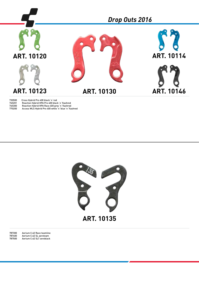

730500 Cross Hybrid Pro 400 black´n´red 765201 Reaction Hybrid HPA Pro 400 black´n´flashred 765300 Reaction Hybrid HPA Race 400 grey´n´flashred

770200 Access WLS Hybrid Pro 400 white´n´blue´n´flashred



787300 Aerium C:62 Race teamline 787400 Aerium C:62 SL aeroteam 787500 Aerium C:62 SLT zeroblack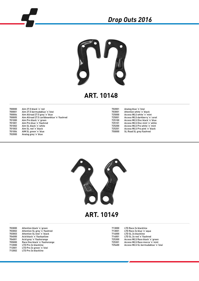

## **ART. 10148**

| 700000 | Aim 27.5 black 'n 'red                      |
|--------|---------------------------------------------|
| 700001 | Aim 27.5 bermudablue 'n 'kiwi               |
| 700004 | Aim Allroad 27.5 grey 'n 'blue              |
| 700005 | Aim Allroad 27.5 caribbeanblue 'n 'flashred |
| 701000 | Aim Pro black 'n 'green                     |
| 701001 | Aim Pro blue 'n 'flashred                   |
| 701002 | Aim SL black 'n 'white                      |
| 701003 | Aim SL red 'n 'black                        |
| 701004 | AIM SL green 'n 'blue                       |
| 702000 | Analog grey n'blue                          |
|        |                                             |

| 702001 | Analog blue 'n 'kiwi           |
|--------|--------------------------------|
| 703001 | Attention white 'n 'black      |
| 725000 | Access WLS white 'n 'mint      |
| 725001 | Access WLS darkberry'n'coral   |
| 725100 | Access WLS Disc black 'n 'blue |
| 725101 | Access WLS Disc mint 'n 'white |
| 725200 | Access WLS Pro white 'n 'mint  |
| 725201 | Access WLS Pro pink 'n 'black  |
| 750000 | SL Road SL grey flashred       |
|        |                                |



#### **ART. 10149**

| 703000 | Attention black 'n 'green      | 713000 | LTD Race 2x blackline              |
|--------|--------------------------------|--------|------------------------------------|
| 703002 | Attention SL grey 'n 'flashred | 713001 | LTD Race 2x blue 'n 'agua          |
| 703003 | Attention SL kiwi'n black      | 714000 | LTD SL 2x blackline                |
| 704000 | Acid black 'n 'flashyellow     | 714001 | LTD SL 2x red 'n 'flashred         |
| 704001 | Acid grey'n'flashorange        | 725300 | Access WLS Race black 'n 'green    |
| 705000 | Race One black 'n 'flashorange | 725301 | Access WLS Race mocca 'n 'mint     |
| 712000 | LTD Pro 2x blackline           | 725400 | Access WLS SL bermudablue 'n 'kiwi |
| 712001 | LTD Pro 2x green 'n 'kiwi      |        |                                    |
| 712002 | LTD Pro 3x blackline           |        |                                    |
|        |                                |        |                                    |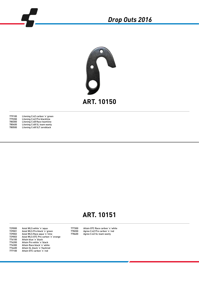



779100 Litening C:62 carbon´n´green<br>779200 Litening C:62 Pro blackline 779200 Litening C:62 Pro blackline 780300 Litening C:68 Race teamline 780400 Litening C:68 SL team wanty 780500 Litening C:68 SLT zeroblack

# **ART. 10151**

729000 Axial WLS white´n´aqua 729001 Axial WLS Pro black 'n 'green<br>729002 Axial WLS Race agua 'n 'lime 729002 Axial WLS Race aqua´n´lime 729003 Axial WLS GTC Pro carbon´n´orange 776100 Attain blue'n'black<br>776200 Attain Pro white'n'b 776200 Attain Pro white´n´black 776300 Attain Race black´n´white 776400 Attain SL black´n´flashred<br>777100 Attain GTC carbon´n´red Attain GTC carbon'n'red

777300 Attain GTC Race carbon'n'white<br>778200 Agree C:62 Pro carbon'n'red 778200 Agree C:62 Pro carbon'n'red<br>778400 Agree C:62 SL team wanty Agree C:62 SL team wanty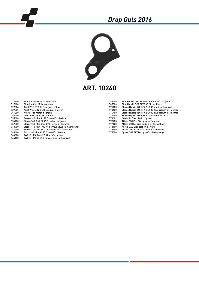

**ART. 10240**

| 717200 | Elite C:62 Race 29 1x blackline                    | 767400 | Elite Hybrid C:62 SL 500 29 black 'n 'flashgreen       |
|--------|----------------------------------------------------|--------|--------------------------------------------------------|
| 717400 | Elite C:68 SL 29 1x teamline                       | 767500 | Elite Hybrid C:62 SLT 500 29 zeroblack                 |
| 729004 | Axial WLS GTC SL Disc grey 'n 'kiwi                | 771400 | Stereo Hybrid 120 HPA SL 500 black 'n 'flashred        |
| 729005 | Axial WLS C:62 SL Disc agua 'n 'green              | 773400 | Stereo Hybrid 140 HPA SL 500 27.5 iridium 'n 'flashred |
| 751200 | Nutrail Pro metal 'n 'green                        | 774400 | Stereo Hybrid 160 HPA SL 500 27.5 iridium 'n 'flashred |
| 752400 | AMS 100 C:62 SL 29 teamline                        | 774500 | Stereo Hybrid 160 HPA Action Team 500 27.5             |
| 755400 | Stereo 140 HPA SL 27.5 metal 'n 'flashred          | 776402 | Attain SL Disc black 'n 'green                         |
| 756400 | Stereo 140 C:62 SL 27.5 carbon 'n 'green           | 777200 | Attain GTC Pro Disc grey'n'flashred                    |
| 759300 | Stereo 150 HPA Race 27.5+ grey n'flashred          | 777400 | Attain GTC SL Disc carbon 'n 'flashyellow              |
| 760700 | Stereo 160 HPA TM 27.5 bermudablue 'n 'flashorange | 778100 | Agree C:62 Disc carbon 'n 'white                       |
| 761400 | Stereo 160 C:62 SL 27.5 carbon 'n 'flashorange     | 778300 | Agree C:62 Race Disc carbon 'n 'flashred               |
| 763400 | Fritzz 180 HPA SL 27.5 metal 'n 'flashred          | 778500 | Agree C:62 SLT Disc grey'n'flashorange                 |
| 764300 | TW015 HPA Race 27.5 black 'n 'green                |        |                                                        |

764400 TWO15 HPA SL 27.5 powderblue´n´flashred